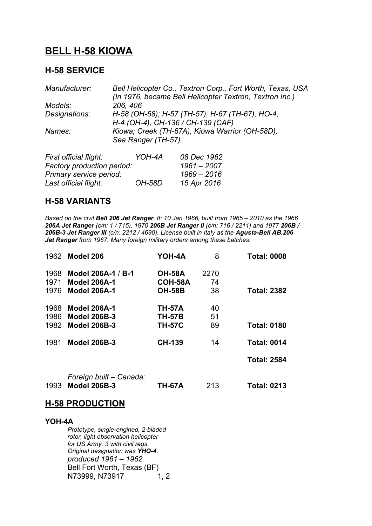## **BELL H-58 KIOWA**

#### **H-58 SERVICE**

| Manufacturer:          | Bell Helicopter Co., Textron Corp., Fort Worth, Texas, USA<br>(In 1976, became Bell Helicopter Textron, Textron Inc.) |  |  |
|------------------------|-----------------------------------------------------------------------------------------------------------------------|--|--|
| Models:                | 206, 406                                                                                                              |  |  |
| Designations:          | H-58 (OH-58); H-57 (TH-57), H-67 (TH-67), HO-4,<br>H-4 (OH-4), CH-136 / CH-139 (CAF)                                  |  |  |
| Names:                 | Kiowa; Creek (TH-67A), Kiowa Warrior (OH-58D),<br>Sea Ranger (TH-57)                                                  |  |  |
| First official flight: | YOH-4A<br>08 Dec 1962                                                                                                 |  |  |

| YOH-4A               | <i>08 Dec 1962</i>         |
|----------------------|----------------------------|
|                      | $1961 - 2007$              |
|                      | 1969 - 2016                |
| <i><b>OH-58D</b></i> | 15 Apr 2016                |
|                      | Factory production period: |

### **H-58 VARIANTS**

*Based on the civil Bell 206 Jet Ranger, ff: 10 Jan 1966, built from 1965 – 2010 as the 1966 206A Jet Ranger (c/n: 1 / 715), 1970 206B Jet Ranger II (c/n: 716 / 2211) and 1977 206B / 206B-3 Jet Ranger III (c/n: 2212 / 4690). License built in Italy as the Agusta-Bell AB.206 Jet Ranger from 1967. Many foreign military orders among these batches.*

|              | 1962 Model 206                             | YOH-4A                   | 8        | <b>Total: 0008</b> |
|--------------|--------------------------------------------|--------------------------|----------|--------------------|
| 1968         | Model 206A-1 / B-1                         | <b>OH-58A</b>            | 2270     |                    |
| 1971<br>1976 | <b>Model 206A-1</b><br><b>Model 206A-1</b> | COH-58A<br><b>OH-58B</b> | 74<br>38 |                    |
|              |                                            |                          |          | <b>Total: 2382</b> |
| 1968         | <b>Model 206A-1</b>                        | <b>TH-57A</b>            | 40       |                    |
|              | 1986 Model 206B-3                          | <b>TH-57B</b>            | 51       |                    |
| 1982         | <b>Model 206B-3</b>                        | <b>TH-57C</b>            | 89       | <b>Total: 0180</b> |
| 1981         | <b>Model 206B-3</b>                        | <b>CH-139</b>            | 14       | <b>Total: 0014</b> |
|              |                                            |                          |          | <b>Total: 2584</b> |
|              | Foreign built - Canada:                    |                          |          |                    |
| 1993         | <b>Model 206B-3</b>                        | <b>TH-67A</b>            | 213      | <b>Total: 0213</b> |

#### **H-58 PRODUCTION**

**YOH-4A** *Prototype, single-engined, 2-bladed rotor, light observation helicopter for US Army. 3 with civil regs. Original designation was YHO-4. produced 1961 – 1962* Bell Fort Worth, Texas (BF) N73999, N73917 1, 2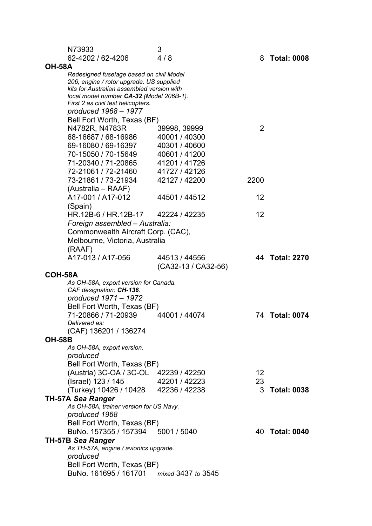| N73933                                                            | 3                   |      |                    |  |
|-------------------------------------------------------------------|---------------------|------|--------------------|--|
| 62-4202 / 62-4206                                                 | 4/8                 |      | 8 Total: 0008      |  |
| <b>OH-58A</b>                                                     |                     |      |                    |  |
| Redesigned fuselage based on civil Model                          |                     |      |                    |  |
| 206, engine / rotor upgrade. US supplied                          |                     |      |                    |  |
| kits for Australian assembled version with                        |                     |      |                    |  |
| local model number CA-32 (Model 206B-1).                          |                     |      |                    |  |
| First 2 as civil test helicopters.<br>produced 1968 - 1977        |                     |      |                    |  |
|                                                                   |                     |      |                    |  |
| Bell Fort Worth, Texas (BF)                                       |                     |      |                    |  |
| N4782R, N4783R                                                    | 39998, 39999        | 2    |                    |  |
| 68-16687 / 68-16986                                               | 40001 / 40300       |      |                    |  |
| 69-16080 / 69-16397                                               | 40301 / 40600       |      |                    |  |
| 70-15050 / 70-15649                                               | 40601 / 41200       |      |                    |  |
| 71-20340 / 71-20865                                               | 41201 / 41726       |      |                    |  |
| 72-21061 / 72-21460                                               | 41727 / 42126       |      |                    |  |
| 73-21861 / 73-21934                                               | 42127 / 42200       | 2200 |                    |  |
| (Australia – RAAF)                                                |                     |      |                    |  |
| A17-001 / A17-012                                                 | 44501 / 44512       | 12   |                    |  |
| (Spain)                                                           |                     |      |                    |  |
| HR.12B-6 / HR.12B-17                                              | 42224 / 42235       | 12   |                    |  |
| Foreign assembled - Australia:                                    |                     |      |                    |  |
| Commonwealth Aircraft Corp. (CAC),                                |                     |      |                    |  |
| Melbourne, Victoria, Australia                                    |                     |      |                    |  |
| (RAAF)                                                            |                     |      |                    |  |
| A17-013 / A17-056                                                 | 44513 / 44556       |      | 44 Total: 2270     |  |
|                                                                   |                     |      |                    |  |
|                                                                   | (CA32-13 / CA32-56) |      |                    |  |
| COH-58A                                                           |                     |      |                    |  |
| As OH-58A, export version for Canada.<br>CAF designation: CH-136. |                     |      |                    |  |
| produced 1971 - 1972                                              |                     |      |                    |  |
| Bell Fort Worth, Texas (BF)                                       |                     |      |                    |  |
| 71-20866 / 71-20939                                               | 44001 / 44074       |      | 74 Total: 0074     |  |
| Delivered as:                                                     |                     |      |                    |  |
| (CAF) 136201 / 136274                                             |                     |      |                    |  |
| <b>OH-58B</b>                                                     |                     |      |                    |  |
| As OH-58A, export version.                                        |                     |      |                    |  |
| produced                                                          |                     |      |                    |  |
| Bell Fort Worth, Texas (BF)                                       |                     |      |                    |  |
| (Austria) 3C-OA / 3C-OL 42239 / 42250                             |                     | 12   |                    |  |
|                                                                   | 42201 / 42223       | 23   |                    |  |
| (Israel) 123 / 145                                                |                     | 3    | <b>Total: 0038</b> |  |
| (Turkey) 10426 / 10428                                            | 42236 / 42238       |      |                    |  |
| <b>TH-57A Sea Ranger</b>                                          |                     |      |                    |  |
| As OH-58A, trainer version for US Navy.                           |                     |      |                    |  |
| produced 1968                                                     |                     |      |                    |  |
| Bell Fort Worth, Texas (BF)                                       |                     |      |                    |  |
| BuNo. 157355 / 157394 5001 / 5040                                 |                     |      | 40 Total: 0040     |  |
| <b>TH-57B Sea Ranger</b>                                          |                     |      |                    |  |
| As TH-57A, engine / avionics upgrade.                             |                     |      |                    |  |
| produced                                                          |                     |      |                    |  |
| Bell Fort Worth, Texas (BF)                                       |                     |      |                    |  |
| BuNo. 161695 / 161701 mixed 3437 to 3545                          |                     |      |                    |  |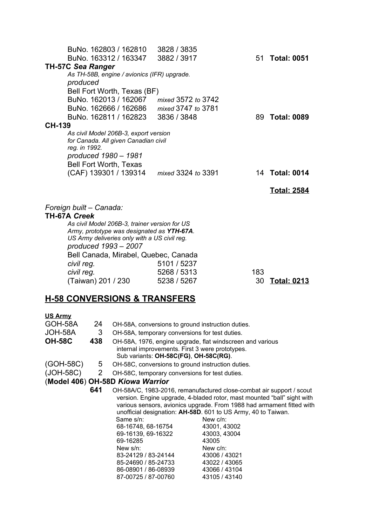|               | BuNo. 162803 / 162810                         | 3828 / 3835        |     |                    |
|---------------|-----------------------------------------------|--------------------|-----|--------------------|
|               | BuNo. 163312 / 163347                         | 3882 / 3917        |     | 51 Total: 0051     |
|               | <b>TH-57C Sea Ranger</b>                      |                    |     |                    |
|               | As TH-58B, engine / avionics (IFR) upgrade.   |                    |     |                    |
|               | produced                                      |                    |     |                    |
|               | Bell Fort Worth, Texas (BF)                   |                    |     |                    |
|               | BuNo. 162013 / 162067 mixed 3572 to 3742      |                    |     |                    |
|               | BuNo. 162666 / 162686                         | mixed 3747 to 3781 |     |                    |
|               | BuNo. 162811 / 162823                         | 3836 / 3848        |     | 89 Total: 0089     |
| <b>CH-139</b> |                                               |                    |     |                    |
|               | As civil Model 206B-3, export version         |                    |     |                    |
|               | for Canada. All given Canadian civil          |                    |     |                    |
|               | reg. in 1992.<br>produced 1980 - 1981         |                    |     |                    |
|               | <b>Bell Fort Worth, Texas</b>                 |                    |     |                    |
|               | (CAF) 139301 / 139314    mixed 3324 to 3391   |                    |     | 14 Total: 0014     |
|               |                                               |                    |     |                    |
|               |                                               |                    |     | <b>Total: 2584</b> |
|               |                                               |                    |     |                    |
|               | Foreign built - Canada:                       |                    |     |                    |
|               | <b>TH-67A Creek</b>                           |                    |     |                    |
|               | As civil Model 206B-3, trainer version for US |                    |     |                    |
|               | Army, prototype was designated as YTH-67A.    |                    |     |                    |
|               | US Army deliveries only with a US civil reg.  |                    |     |                    |
|               | produced 1993 - 2007                          |                    |     |                    |
|               | Bell Canada, Mirabel, Quebec, Canada          |                    |     |                    |
|               | civil reg.                                    | 5101 / 5237        |     |                    |
|               | civil reg.                                    | 5268 / 5313        | 183 |                    |
|               | (Taiwan) 201 / 230                            | 5238 / 5267        | 30  | <b>Total: 0213</b> |

### **H-58 CONVERSIONS & TRANSFERS**

# **US Army**

| GOH-58A       | 24  | OH-58A, conversions to ground instruction duties.                     |                                                                         |  |
|---------------|-----|-----------------------------------------------------------------------|-------------------------------------------------------------------------|--|
| JOH-58A       | 3   | OH-58A, temporary conversions for test duties.                        |                                                                         |  |
| <b>OH-58C</b> | 438 | OH-58A, 1976, engine upgrade, flat windscreen and various             |                                                                         |  |
|               |     | internal improvements. First 3 were prototypes.                       |                                                                         |  |
|               |     | Sub variants: OH-58C(FG), OH-58C(RG).                                 |                                                                         |  |
| (GOH-58C)     | 5   | OH-58C, conversions to ground instruction duties.                     |                                                                         |  |
| $(JOH-58C)$ 2 |     | OH-58C, temporary conversions for test duties.                        |                                                                         |  |
|               |     | (Model 406) OH-58D Kiowa Warrior                                      |                                                                         |  |
|               | 641 |                                                                       | OH-58A/C, 1983-2016, remanufactured close-combat air support / scout    |  |
|               |     |                                                                       | version. Engine upgrade, 4-bladed rotor, mast mounted "ball" sight with |  |
|               |     | various sensors, avionics upgrade. From 1988 had armament fitted with |                                                                         |  |
|               |     |                                                                       | unofficial designation: AH-58D. 601 to US Army, 40 to Taiwan.           |  |
|               |     | Same s/n:                                                             | New c/n:                                                                |  |
|               |     | 68-16748, 68-16754                                                    | 43001, 43002                                                            |  |
|               |     | 69-16139, 69-16322                                                    | 43003, 43004                                                            |  |
|               |     | 69-16285                                                              | 43005                                                                   |  |
|               |     | New $s/n$ :                                                           | New $c/n$ :                                                             |  |
|               |     | 83-24129 / 83-24144                                                   | 43006 / 43021                                                           |  |
|               |     | 85-24690 / 85-24733                                                   | 43022 / 43065                                                           |  |
|               |     | 86-08901 / 86-08939                                                   | 43066 / 43104                                                           |  |
|               |     | 87-00725 / 87-00760                                                   | 43105 / 43140                                                           |  |
|               |     |                                                                       |                                                                         |  |